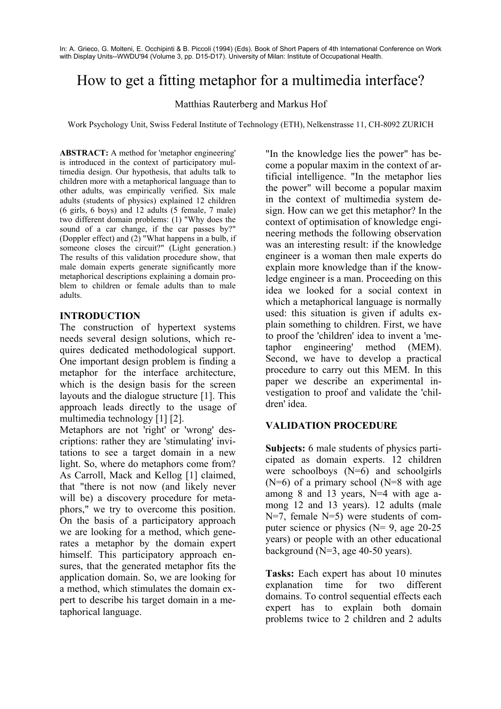In: A. Grieco, G. Molteni, E. Occhipinti & B. Piccoli (1994) (Eds). Book of Short Papers of 4th International Conference on Work with Display Units--WWDU'94 (Volume 3, pp. D15-D17). University of Milan: Institute of Occupational Health.

# How to get a fitting metaphor for a multimedia interface?

Matthias Rauterberg and Markus Hof

Work Psychology Unit, Swiss Federal Institute of Technology (ETH), Nelkenstrasse 11, CH-8092 ZURICH

**ABSTRACT:** A method for 'metaphor engineering' is introduced in the context of participatory multimedia design. Our hypothesis, that adults talk to children more with a metaphorical language than to other adults, was empirically verified. Six male adults (students of physics) explained 12 children (6 girls, 6 boys) and 12 adults (5 female, 7 male) two different domain problems: (1) "Why does the sound of a car change, if the car passes by?" (Doppler effect) and (2) "What happens in a bulb, if someone closes the circuit?" (Light generation.) The results of this validation procedure show, that male domain experts generate significantly more metaphorical descriptions explaining a domain problem to children or female adults than to male adults.

### **INTRODUCTION**

The construction of hypertext systems needs several design solutions, which requires dedicated methodological support. One important design problem is finding a metaphor for the interface architecture, which is the design basis for the screen layouts and the dialogue structure [1]. This approach leads directly to the usage of multimedia technology [1] [2].

Metaphors are not 'right' or 'wrong' descriptions: rather they are 'stimulating' invitations to see a target domain in a new light. So, where do metaphors come from? As Carroll, Mack and Kellog [1] claimed, that "there is not now (and likely never will be) a discovery procedure for metaphors," we try to overcome this position. On the basis of a participatory approach we are looking for a method, which generates a metaphor by the domain expert himself. This participatory approach ensures, that the generated metaphor fits the application domain. So, we are looking for a method, which stimulates the domain expert to describe his target domain in a metaphorical language.

"In the knowledge lies the power" has become a popular maxim in the context of artificial intelligence. "In the metaphor lies the power" will become a popular maxim in the context of multimedia system design. How can we get this metaphor? In the context of optimisation of knowledge engineering methods the following observation was an interesting result: if the knowledge engineer is a woman then male experts do explain more knowledge than if the knowledge engineer is a man. Proceeding on this idea we looked for a social context in which a metaphorical language is normally used: this situation is given if adults explain something to children. First, we have to proof the 'children' idea to invent a 'metaphor engineering' method (MEM). Second, we have to develop a practical procedure to carry out this MEM. In this paper we describe an experimental investigation to proof and validate the 'children' idea.

# **VALIDATION PROCEDURE**

**Subjects:** 6 male students of physics participated as domain experts. 12 children were schoolboys (N=6) and schoolgirls  $(N=6)$  of a primary school  $(N=8$  with age among 8 and 13 years, N=4 with age among 12 and 13 years). 12 adults (male N=7, female N=5) were students of computer science or physics  $(N= 9, \text{ age } 20-25)$ years) or people with an other educational background  $(N=3$ , age 40-50 years).

**Tasks:** Each expert has about 10 minutes explanation time for two different domains. To control sequential effects each expert has to explain both domain problems twice to 2 children and 2 adults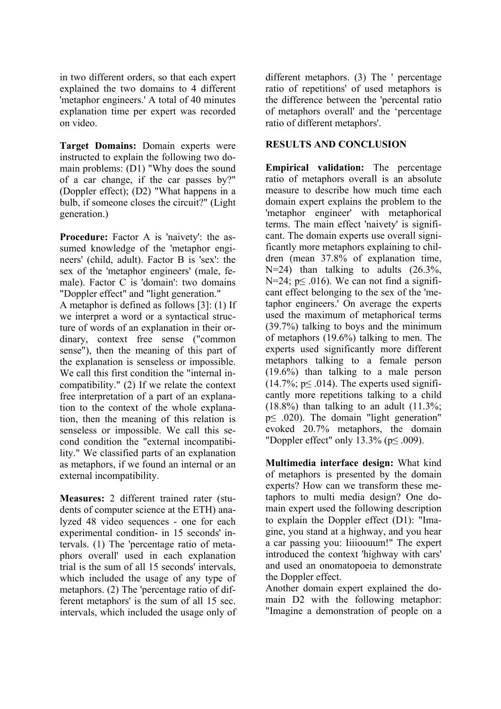in two different orders, so that each expert explained the two domains to 4 different 'metaphor engineers.' A total of 40 minutes explanation time per expert was recorded on video.

**Target Domains:** Domain experts were instructed to explain the following two domain problems: (D1) "Why does the sound of a car change, if the car passes by?" (Doppler effect); (D2) "What happens in a bulb, if someone closes the circuit?" (Light generation.)

**Procedure:** Factor A is 'naivety': the assumed knowledge of the 'metaphor engineers' (child, adult). Factor B is 'sex': the sex of the 'metaphor engineers' (male, female). Factor C is 'domain': two domains "Doppler effect" and "light generation."

A metaphor is defined as follows [3]: (1) If we interpret a word or a syntactical structure of words of an explanation in their ordinary, context free sense ("common sense"), then the meaning of this part of the explanation is senseless or impossible. We call this first condition the "internal incompatibility." (2) If we relate the context free interpretation of a part of an explanation to the context of the whole explanation, then the meaning of this relation is senseless or impossible. We call this second condition the "external incompatibility." We classified parts of an explanation as metaphors, if we found an internal or an external incompatibility.

**Measures:** 2 different trained rater (students of computer science at the ETH) analyzed 48 video sequences - one for each experimental condition- in 15 seconds' intervals. (1) The 'percentage ratio of metaphors overall' used in each explanation trial is the sum of all 15 seconds' intervals, which included the usage of any type of metaphors. (2) The 'percentage ratio of different metaphors' is the sum of all 15 sec. intervals, which included the usage only of different metaphors. (3) The ' percentage ratio of repetitions' of used metaphors is the difference between the 'percental ratio of metaphors overall' and the 'percentage ratio of different metaphors'.

## **RESULTS AND CONCLUSION**

**Empirical validation:** The percentage ratio of metaphors overall is an absolute measure to describe how much time each domain expert explains the problem to the 'metaphor engineer' with metaphorical terms. The main effect 'naivety' is significant. The domain experts use overall significantly more metaphors explaining to children (mean 37.8% of explanation time, N=24) than talking to adults (26.3%, N=24;  $p \le 0.016$ ). We can not find a significant effect belonging to the sex of the 'metaphor engineers.' On average the experts used the maximum of metaphorical terms (39.7%) talking to boys and the minimum of metaphors (19.6%) talking to men. The experts used significantly more different metaphors talking to a female person (19.6%) than talking to a male person  $(14.7\% \times 0.014)$ . The experts used significantly more repetitions talking to a child  $(18.8\%)$  than talking to an adult  $(11.3\%$ ; p≤ .020). The domain "light generation" evoked 20.7% metaphors, the domain "Doppler effect" only 13.3% (p≤ .009).

**Multimedia interface design:** What kind of metaphors is presented by the domain experts? How can we transform these metaphors to multi media design? One domain expert used the following description to explain the Doppler effect (D1): "Imagine, you stand at a highway, and you hear a car passing you: Iiiioouum!" The expert introduced the context 'highway with cars' and used an onomatopoeia to demonstrate the Doppler effect.

Another domain expert explained the domain D2 with the following metaphor: "Imagine a demonstration of people on a